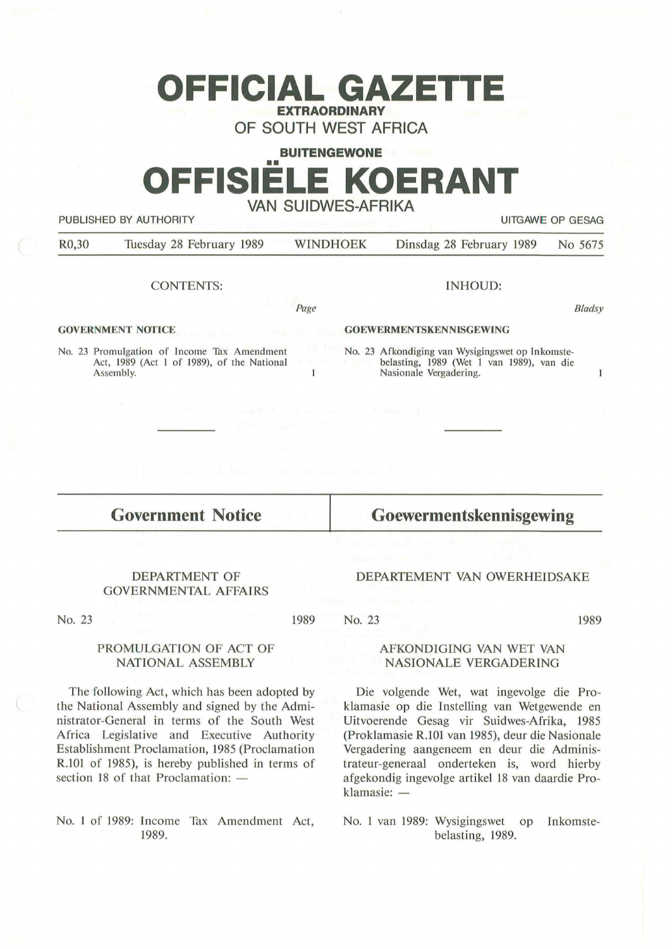## **OFFICIAL GAZETTE EXTRAORDINARY**

**OF SOUTH WEST AFRICA** 

# **BUITENGEWONE**  •• **OFFISIELE KOERANT VAN SUIDWES-AFRIKA**

PUBLISHED BY AUTHORITY **EXAMPLE ASSAULTS AND THE SECOND TEST OF GESAGRAPH** OP GESAGRAPH OF GESAGRAPH OF GESAGRAPH

*Bladsy* 

 $\mathbf{1}$ 

R0,30 Tuesday 28 February 1989 WINDHOEK Dinsdag 28 February 1989 No 5675

#### CONTENTS:

INHOUD:

**GOVERNMENT NOTICE** 

**GOEWERMENTSKENNISGEWING** 

No. 23 Promulgation of Income Tax Amendment No. 23 Afkondiging van Wysigingswet op Inkomste-Act, 1989 (Act I of 1989), of the National belasting, 1989 (Wet I van 1989), van die  $\mathbf{1}$ Assembly. Nasionale Vergadering.

*Page* 

**Government Notice** 

**Goewermentskennisgewing** 

DEPARTEMENT VAN OWERHEIDSAKE

#### DEPARTMENT OF GOVERNMENTAL AFFAIRS

No. 23

1989

#### AFKONDIGING VAN WET VAN NASIONALE VERGADERING

Die volgende Wet, wat ingevolge die Proklamasie op die Instelling van Wetgewende en Uitvoerende Gesag vir Suidwes-Afrika, 1985 (Proklamasie R.101 van 1985), deur die Nasionale Vergadering aangeneem en deur die Administrateur-generaal onderteken is, word hierby afgekondig ingevolge artikel 18 van daardie Proklamasie: -

No. 1 van 1989: Wysigingswet op Inkomstebelasting, 1989.

### **PROMULGATION OF ACT OF NATIONAL ASSEMBLY**

The following Act, which has been adopted by the National Assembly and signed by the Administrator-General in terms of the South West Africa Legislative and Executive Authority Establishment Proclamation, 1985 (Proclamation R.101 of 1985), is hereby published in terms of section 18 of that Proclamation:  $-$ 

No. 1 of 1989: Income Tax Amendment Act, 1989.

No. 23

1989